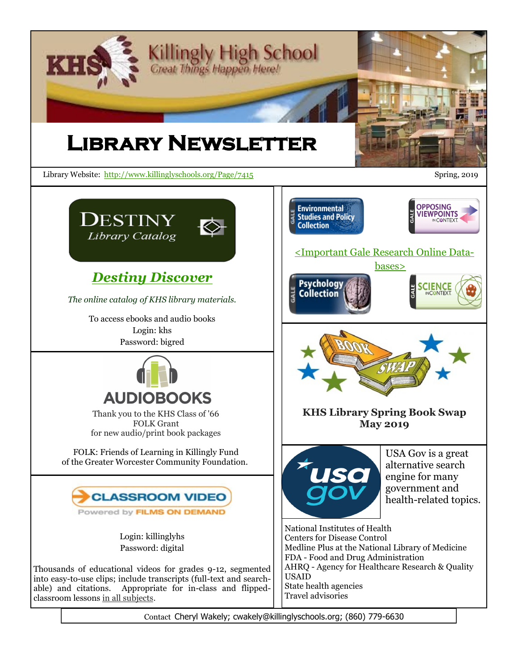